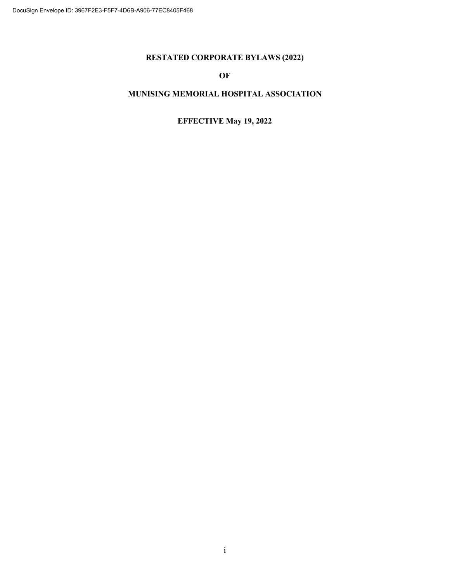# **RESTATED CORPORATE BYLAWS (2022)**

# **OF**

# **MUNISING MEMORIAL HOSPITAL ASSOCIATION**

# **EFFECTIVE May 19, 2022**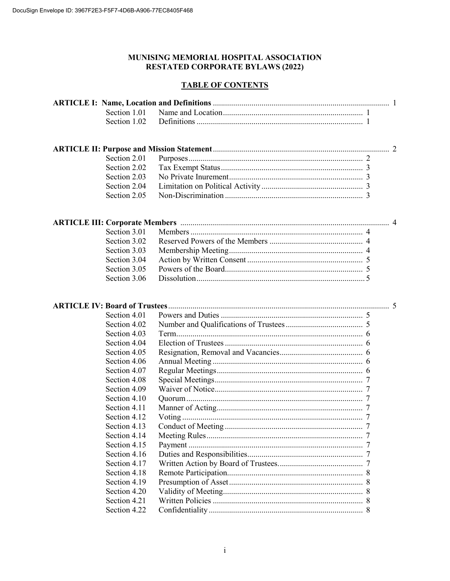# MUNISING MEMORIAL HOSPITAL ASSOCIATION **RESTATED CORPORATE BYLAWS (2022)**

# **TABLE OF CONTENTS**

| <b>ARTICLE IV: Board of Trustees</b> |  |
|--------------------------------------|--|
| Section 4.01                         |  |
| Section 4.02                         |  |
| Section 4.03                         |  |
| Section 4.04                         |  |
| Section 4.05                         |  |
| Section 4.06                         |  |
| Section 4.07                         |  |
| Section 4.08                         |  |
| Section 4.09                         |  |
| Section 4.10                         |  |
| Section 4.11                         |  |
| Section 4.12                         |  |
| Section 4.13                         |  |
| Section 4.14                         |  |
| Section 4.15                         |  |
| Section 4.16                         |  |
| Section 4.17                         |  |
| Section 4.18                         |  |
| Section 4.19                         |  |
| Section 4.20                         |  |
| Section 4.21                         |  |
| Section 4.22                         |  |
|                                      |  |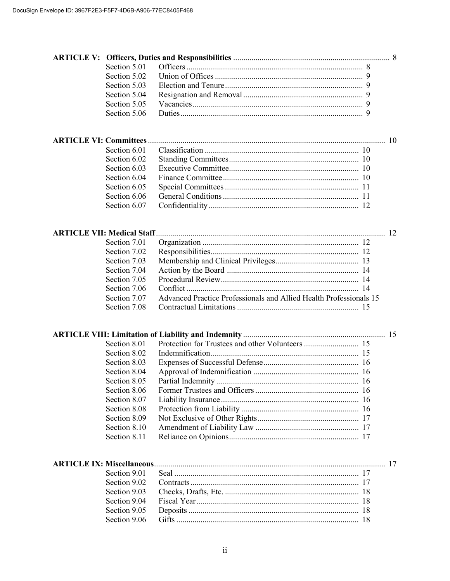|                                   | Section 5.01 |                                                                    |  |
|-----------------------------------|--------------|--------------------------------------------------------------------|--|
|                                   | Section 5.02 |                                                                    |  |
|                                   | Section 5.03 |                                                                    |  |
|                                   | Section 5.04 |                                                                    |  |
|                                   | Section 5.05 |                                                                    |  |
|                                   | Section 5.06 |                                                                    |  |
|                                   |              |                                                                    |  |
|                                   |              |                                                                    |  |
|                                   | Section 6.01 |                                                                    |  |
|                                   | Section 6.02 |                                                                    |  |
|                                   | Section 6.03 |                                                                    |  |
|                                   | Section 6.04 |                                                                    |  |
|                                   | Section 6.05 |                                                                    |  |
|                                   | Section 6.06 |                                                                    |  |
|                                   | Section 6.07 |                                                                    |  |
|                                   |              |                                                                    |  |
| <b>ARTICLE VII: Medical Staff</b> | Section 7.01 |                                                                    |  |
|                                   |              |                                                                    |  |
|                                   | Section 7.02 |                                                                    |  |
|                                   | Section 7.03 |                                                                    |  |
|                                   | Section 7.04 |                                                                    |  |
|                                   | Section 7.05 |                                                                    |  |
|                                   | Section 7.06 |                                                                    |  |
|                                   | Section 7.07 | Advanced Practice Professionals and Allied Health Professionals 15 |  |
|                                   | Section 7.08 |                                                                    |  |
|                                   |              |                                                                    |  |
|                                   | Section 8.01 |                                                                    |  |
|                                   | Section 8.02 |                                                                    |  |
|                                   | Section 8.03 |                                                                    |  |
|                                   | Section 8.04 |                                                                    |  |
|                                   | Section 8.05 |                                                                    |  |
|                                   | Section 8.06 |                                                                    |  |
|                                   | Section 8.07 |                                                                    |  |
|                                   | Section 8.08 |                                                                    |  |
|                                   | Section 8.09 |                                                                    |  |
|                                   | Section 8.10 |                                                                    |  |
|                                   | Section 8.11 |                                                                    |  |
|                                   |              |                                                                    |  |
|                                   |              |                                                                    |  |
|                                   | Section 9.01 |                                                                    |  |
|                                   | Section 9.02 |                                                                    |  |
|                                   | Section 9.03 |                                                                    |  |
|                                   | Section 9.04 |                                                                    |  |
|                                   | Section 9.05 |                                                                    |  |
|                                   | Section 9.06 |                                                                    |  |
|                                   |              |                                                                    |  |
|                                   |              |                                                                    |  |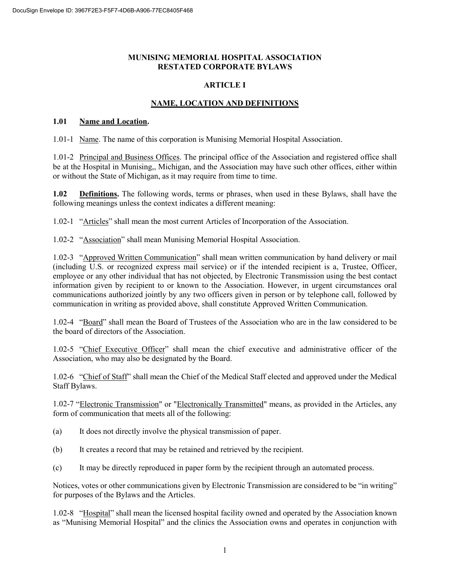#### **MUNISING MEMORIAL HOSPITAL ASSOCIATION RESTATED CORPORATE BYLAWS**

#### **ARTICLE I**

# **NAME, LOCATION AND DEFINITIONS**

#### **1.01 Name and Location.**

1.01-1 Name. The name of this corporation is Munising Memorial Hospital Association.

1.01-2 Principal and Business Offices. The principal office of the Association and registered office shall be at the Hospital in Munising,, Michigan, and the Association may have such other offices, either within or without the State of Michigan, as it may require from time to time.

**1.02 Definitions.** The following words, terms or phrases, when used in these Bylaws, shall have the following meanings unless the context indicates a different meaning:

1.02-1 "Articles" shall mean the most current Articles of Incorporation of the Association.

1.02-2 "Association" shall mean Munising Memorial Hospital Association.

1.02-3 "Approved Written Communication" shall mean written communication by hand delivery or mail (including U.S. or recognized express mail service) or if the intended recipient is a, Trustee, Officer, employee or any other individual that has not objected, by Electronic Transmission using the best contact information given by recipient to or known to the Association. However, in urgent circumstances oral communications authorized jointly by any two officers given in person or by telephone call, followed by communication in writing as provided above, shall constitute Approved Written Communication.

1.02-4 "Board" shall mean the Board of Trustees of the Association who are in the law considered to be the board of directors of the Association.

1.02-5 "Chief Executive Officer" shall mean the chief executive and administrative officer of the Association, who may also be designated by the Board.

1.02-6 "Chief of Staff" shall mean the Chief of the Medical Staff elected and approved under the Medical Staff Bylaws.

1.02-7 "Electronic Transmission" or "Electronically Transmitted" means, as provided in the Articles, any form of communication that meets all of the following:

- (a) It does not directly involve the physical transmission of paper.
- (b) It creates a record that may be retained and retrieved by the recipient.
- (c) It may be directly reproduced in paper form by the recipient through an automated process.

Notices, votes or other communications given by Electronic Transmission are considered to be "in writing" for purposes of the Bylaws and the Articles.

1.02-8 "Hospital" shall mean the licensed hospital facility owned and operated by the Association known as "Munising Memorial Hospital" and the clinics the Association owns and operates in conjunction with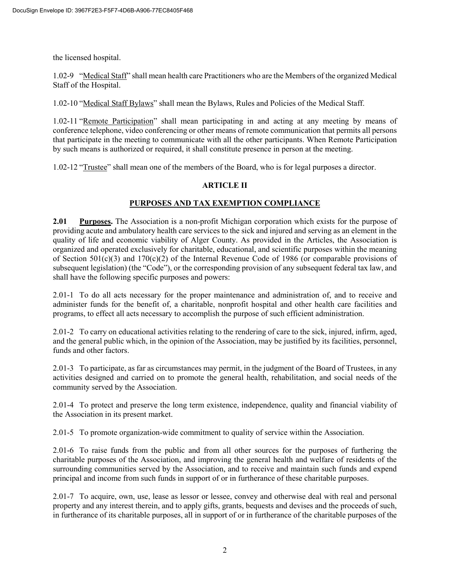the licensed hospital.

1.02-9 "Medical Staff" shall mean health care Practitioners who are the Members of the organized Medical Staff of the Hospital.

1.02-10 "Medical Staff Bylaws" shall mean the Bylaws, Rules and Policies of the Medical Staff.

1.02-11 "Remote Participation" shall mean participating in and acting at any meeting by means of conference telephone, video conferencing or other means of remote communication that permits all persons that participate in the meeting to communicate with all the other participants. When Remote Participation by such means is authorized or required, it shall constitute presence in person at the meeting.

1.02-12 "Trustee" shall mean one of the members of the Board, who is for legal purposes a director.

# **ARTICLE II**

#### **PURPOSES AND TAX EXEMPTION COMPLIANCE**

**2.01 Purposes.** The Association is a non-profit Michigan corporation which exists for the purpose of providing acute and ambulatory health care services to the sick and injured and serving as an element in the quality of life and economic viability of Alger County. As provided in the Articles, the Association is organized and operated exclusively for charitable, educational, and scientific purposes within the meaning of Section 501(c)(3) and 170(c)(2) of the Internal Revenue Code of 1986 (or comparable provisions of subsequent legislation) (the "Code"), or the corresponding provision of any subsequent federal tax law, and shall have the following specific purposes and powers:

2.01-1 To do all acts necessary for the proper maintenance and administration of, and to receive and administer funds for the benefit of, a charitable, nonprofit hospital and other health care facilities and programs, to effect all acts necessary to accomplish the purpose of such efficient administration.

2.01-2 To carry on educational activities relating to the rendering of care to the sick, injured, infirm, aged, and the general public which, in the opinion of the Association, may be justified by its facilities, personnel, funds and other factors.

2.01-3 To participate, as far as circumstances may permit, in the judgment of the Board of Trustees, in any activities designed and carried on to promote the general health, rehabilitation, and social needs of the community served by the Association.

2.01-4 To protect and preserve the long term existence, independence, quality and financial viability of the Association in its present market.

2.01-5 To promote organization-wide commitment to quality of service within the Association.

2.01-6 To raise funds from the public and from all other sources for the purposes of furthering the charitable purposes of the Association, and improving the general health and welfare of residents of the surrounding communities served by the Association, and to receive and maintain such funds and expend principal and income from such funds in support of or in furtherance of these charitable purposes.

2.01-7 To acquire, own, use, lease as lessor or lessee, convey and otherwise deal with real and personal property and any interest therein, and to apply gifts, grants, bequests and devises and the proceeds of such, in furtherance of its charitable purposes, all in support of or in furtherance of the charitable purposes of the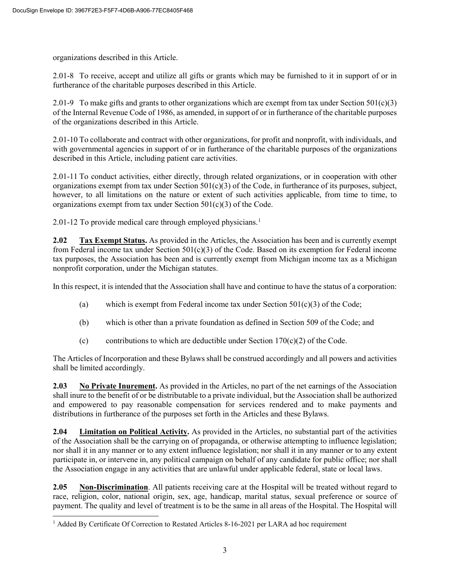organizations described in this Article.

2.01-8 To receive, accept and utilize all gifts or grants which may be furnished to it in support of or in furtherance of the charitable purposes described in this Article.

2.01-9 To make gifts and grants to other organizations which are exempt from tax under Section  $501(c)(3)$ of the Internal Revenue Code of 1986, as amended, in support of or in furtherance of the charitable purposes of the organizations described in this Article.

2.01-10 To collaborate and contract with other organizations, for profit and nonprofit, with individuals, and with governmental agencies in support of or in furtherance of the charitable purposes of the organizations described in this Article, including patient care activities.

2.01-11 To conduct activities, either directly, through related organizations, or in cooperation with other organizations exempt from tax under Section  $501(c)(3)$  of the Code, in furtherance of its purposes, subject, however, to all limitations on the nature or extent of such activities applicable, from time to time, to organizations exempt from tax under Section  $501(c)(3)$  of the Code.

2.0[1](#page--1-0)-12 To provide medical care through employed physicians.<sup>1</sup>

**2.02 Tax Exempt Status.** As provided in the Articles, the Association has been and is currently exempt from Federal income tax under Section  $501(c)(3)$  of the Code. Based on its exemption for Federal income tax purposes, the Association has been and is currently exempt from Michigan income tax as a Michigan nonprofit corporation, under the Michigan statutes.

In this respect, it is intended that the Association shall have and continue to have the status of a corporation:

- (a) which is exempt from Federal income tax under Section  $501(c)(3)$  of the Code;
- (b) which is other than a private foundation as defined in Section 509 of the Code; and
- (c) contributions to which are deductible under Section  $170(c)(2)$  of the Code.

The Articles of Incorporation and these Bylaws shall be construed accordingly and all powers and activities shall be limited accordingly.

**2.03 No Private Inurement.** As provided in the Articles, no part of the net earnings of the Association shall inure to the benefit of or be distributable to a private individual, but the Association shall be authorized and empowered to pay reasonable compensation for services rendered and to make payments and distributions in furtherance of the purposes set forth in the Articles and these Bylaws.

**2.04 Limitation on Political Activity.** As provided in the Articles, no substantial part of the activities of the Association shall be the carrying on of propaganda, or otherwise attempting to influence legislation; nor shall it in any manner or to any extent influence legislation; nor shall it in any manner or to any extent participate in, or intervene in, any political campaign on behalf of any candidate for public office; nor shall the Association engage in any activities that are unlawful under applicable federal, state or local laws.

**2.05 Non-Discrimination**. All patients receiving care at the Hospital will be treated without regard to race, religion, color, national origin, sex, age, handicap, marital status, sexual preference or source of payment. The quality and level of treatment is to be the same in all areas of the Hospital. The Hospital will

 $\overline{a}$ <sup>1</sup> Added By Certificate Of Correction to Restated Articles 8-16-2021 per LARA ad hoc requirement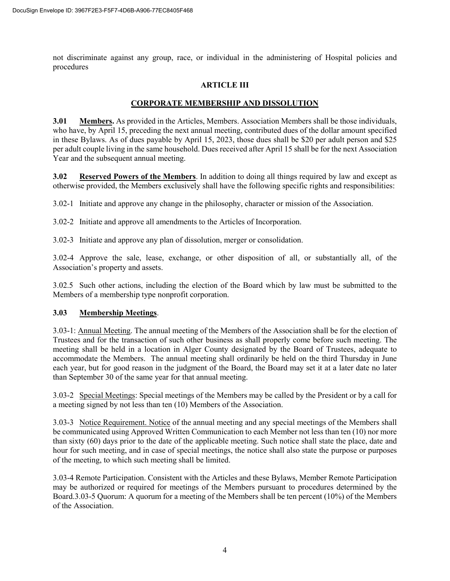not discriminate against any group, race, or individual in the administering of Hospital policies and procedures

### **ARTICLE III**

# **CORPORATE MEMBERSHIP AND DISSOLUTION**

**3.01 Members.** As provided in the Articles, Members. Association Members shall be those individuals, who have, by April 15, preceding the next annual meeting, contributed dues of the dollar amount specified in these Bylaws. As of dues payable by April 15, 2023, those dues shall be \$20 per adult person and \$25 per adult couple living in the same household. Dues received after April 15 shall be for the next Association Year and the subsequent annual meeting.

**3.02 Reserved Powers of the Members**. In addition to doing all things required by law and except as otherwise provided, the Members exclusively shall have the following specific rights and responsibilities:

3.02-1 Initiate and approve any change in the philosophy, character or mission of the Association.

3.02-2 Initiate and approve all amendments to the Articles of Incorporation.

3.02-3 Initiate and approve any plan of dissolution, merger or consolidation.

3.02-4 Approve the sale, lease, exchange, or other disposition of all, or substantially all, of the Association's property and assets.

3.02.5 Such other actions, including the election of the Board which by law must be submitted to the Members of a membership type nonprofit corporation.

#### **3.03 Membership Meetings**.

3.03-1: Annual Meeting. The annual meeting of the Members of the Association shall be for the election of Trustees and for the transaction of such other business as shall properly come before such meeting. The meeting shall be held in a location in Alger County designated by the Board of Trustees, adequate to accommodate the Members. The annual meeting shall ordinarily be held on the third Thursday in June each year, but for good reason in the judgment of the Board, the Board may set it at a later date no later than September 30 of the same year for that annual meeting.

3.03-2 Special Meetings: Special meetings of the Members may be called by the President or by a call for a meeting signed by not less than ten (10) Members of the Association.

3.03-3 Notice Requirement. Notice of the annual meeting and any special meetings of the Members shall be communicated using Approved Written Communication to each Member not less than ten (10) nor more than sixty (60) days prior to the date of the applicable meeting. Such notice shall state the place, date and hour for such meeting, and in case of special meetings, the notice shall also state the purpose or purposes of the meeting, to which such meeting shall be limited.

3.03-4 Remote Participation. Consistent with the Articles and these Bylaws, Member Remote Participation may be authorized or required for meetings of the Members pursuant to procedures determined by the Board.3.03-5 Quorum: A quorum for a meeting of the Members shall be ten percent (10%) of the Members of the Association.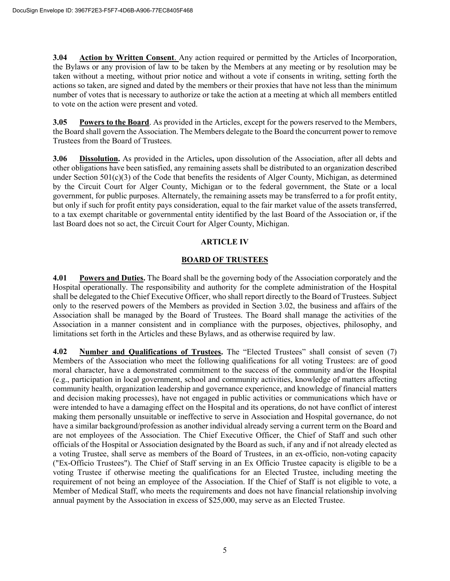**3.04 Action by Written Consent**. Any action required or permitted by the Articles of Incorporation, the Bylaws or any provision of law to be taken by the Members at any meeting or by resolution may be taken without a meeting, without prior notice and without a vote if consents in writing, setting forth the actions so taken, are signed and dated by the members or their proxies that have not less than the minimum number of votes that is necessary to authorize or take the action at a meeting at which all members entitled to vote on the action were present and voted.

**3.05 Powers to the Board**. As provided in the Articles, except for the powers reserved to the Members, the Board shall govern the Association. The Members delegate to the Board the concurrent power to remove Trustees from the Board of Trustees.

**3.06 Dissolution.** As provided in the Articles**,** upon dissolution of the Association, after all debts and other obligations have been satisfied, any remaining assets shall be distributed to an organization described under Section 501(c)(3) of the Code that benefits the residents of Alger County, Michigan, as determined by the Circuit Court for Alger County, Michigan or to the federal government, the State or a local government, for public purposes. Alternately, the remaining assets may be transferred to a for profit entity, but only if such for profit entity pays consideration, equal to the fair market value of the assets transferred, to a tax exempt charitable or governmental entity identified by the last Board of the Association or, if the last Board does not so act, the Circuit Court for Alger County, Michigan.

#### **ARTICLE IV**

# **BOARD OF TRUSTEES**

**4.01 Powers and Duties.** The Board shall be the governing body of the Association corporately and the Hospital operationally. The responsibility and authority for the complete administration of the Hospital shall be delegated to the Chief Executive Officer, who shall report directly to the Board of Trustees. Subject only to the reserved powers of the Members as provided in Section 3.02, the business and affairs of the Association shall be managed by the Board of Trustees. The Board shall manage the activities of the Association in a manner consistent and in compliance with the purposes, objectives, philosophy, and limitations set forth in the Articles and these Bylaws, and as otherwise required by law.

**4.02 Number and Qualifications of Trustees.** The "Elected Trustees" shall consist of seven (7) Members of the Association who meet the following qualifications for all voting Trustees: are of good moral character, have a demonstrated commitment to the success of the community and/or the Hospital (e.g., participation in local government, school and community activities, knowledge of matters affecting community health, organization leadership and governance experience, and knowledge of financial matters and decision making processes), have not engaged in public activities or communications which have or were intended to have a damaging effect on the Hospital and its operations, do not have conflict of interest making them personally unsuitable or ineffective to serve in Association and Hospital governance, do not have a similar background/profession as another individual already serving a current term on the Board and are not employees of the Association. The Chief Executive Officer, the Chief of Staff and such other officials of the Hospital or Association designated by the Board as such, if any and if not already elected as a voting Trustee, shall serve as members of the Board of Trustees, in an ex-officio, non-voting capacity ("Ex-Officio Trustees"). The Chief of Staff serving in an Ex Officio Trustee capacity is eligible to be a voting Trustee if otherwise meeting the qualifications for an Elected Trustee, including meeting the requirement of not being an employee of the Association. If the Chief of Staff is not eligible to vote, a Member of Medical Staff, who meets the requirements and does not have financial relationship involving annual payment by the Association in excess of \$25,000, may serve as an Elected Trustee.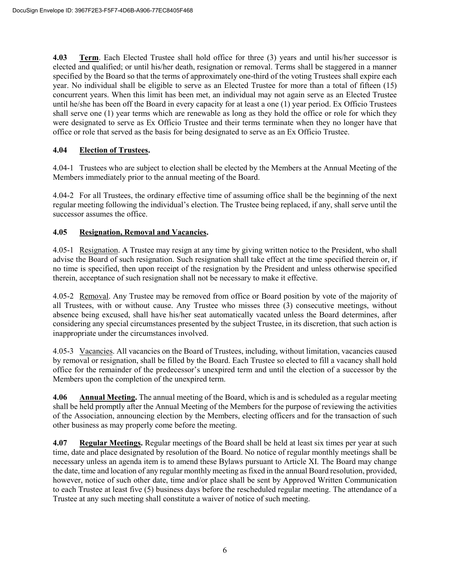**4.03 Term**. Each Elected Trustee shall hold office for three (3) years and until his/her successor is elected and qualified; or until his/her death, resignation or removal. Terms shall be staggered in a manner specified by the Board so that the terms of approximately one-third of the voting Trustees shall expire each year. No individual shall be eligible to serve as an Elected Trustee for more than a total of fifteen (15) concurrent years. When this limit has been met, an individual may not again serve as an Elected Trustee until he/she has been off the Board in every capacity for at least a one (1) year period. Ex Officio Trustees shall serve one (1) year terms which are renewable as long as they hold the office or role for which they were designated to serve as Ex Officio Trustee and their terms terminate when they no longer have that office or role that served as the basis for being designated to serve as an Ex Officio Trustee.

# **4.04 Election of Trustees.**

4.04-1 Trustees who are subject to election shall be elected by the Members at the Annual Meeting of the Members immediately prior to the annual meeting of the Board.

4.04-2 For all Trustees, the ordinary effective time of assuming office shall be the beginning of the next regular meeting following the individual's election. The Trustee being replaced, if any, shall serve until the successor assumes the office.

#### **4.05 Resignation, Removal and Vacancies.**

4.05-1 Resignation. A Trustee may resign at any time by giving written notice to the President, who shall advise the Board of such resignation. Such resignation shall take effect at the time specified therein or, if no time is specified, then upon receipt of the resignation by the President and unless otherwise specified therein, acceptance of such resignation shall not be necessary to make it effective.

4.05-2 Removal. Any Trustee may be removed from office or Board position by vote of the majority of all Trustees, with or without cause. Any Trustee who misses three (3) consecutive meetings, without absence being excused, shall have his/her seat automatically vacated unless the Board determines, after considering any special circumstances presented by the subject Trustee, in its discretion, that such action is inappropriate under the circumstances involved.

4.05-3 Vacancies. All vacancies on the Board of Trustees, including, without limitation, vacancies caused by removal or resignation, shall be filled by the Board. Each Trustee so elected to fill a vacancy shall hold office for the remainder of the predecessor's unexpired term and until the election of a successor by the Members upon the completion of the unexpired term.

**4.06 Annual Meeting.** The annual meeting of the Board, which is and is scheduled as a regular meeting shall be held promptly after the Annual Meeting of the Members for the purpose of reviewing the activities of the Association, announcing election by the Members, electing officers and for the transaction of such other business as may properly come before the meeting.

**4.07 Regular Meetings.** Regular meetings of the Board shall be held at least six times per year at such time, date and place designated by resolution of the Board. No notice of regular monthly meetings shall be necessary unless an agenda item is to amend these Bylaws pursuant to Article XI. The Board may change the date, time and location of any regular monthly meeting as fixed in the annual Board resolution, provided, however, notice of such other date, time and/or place shall be sent by Approved Written Communication to each Trustee at least five (5) business days before the rescheduled regular meeting. The attendance of a Trustee at any such meeting shall constitute a waiver of notice of such meeting.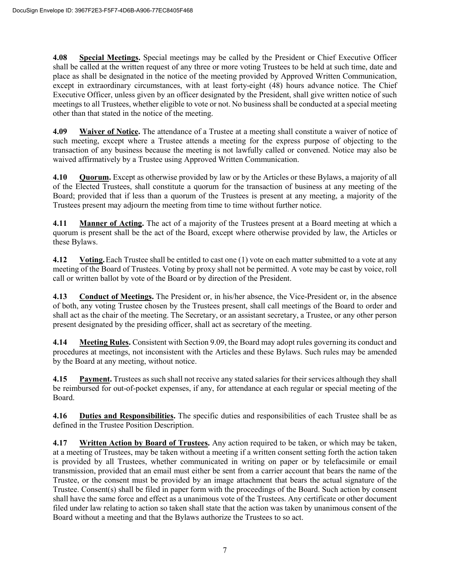**4.08 Special Meetings.** Special meetings may be called by the President or Chief Executive Officer shall be called at the written request of any three or more voting Trustees to be held at such time, date and place as shall be designated in the notice of the meeting provided by Approved Written Communication, except in extraordinary circumstances, with at least forty-eight (48) hours advance notice. The Chief Executive Officer, unless given by an officer designated by the President, shall give written notice of such meetings to all Trustees, whether eligible to vote or not. No business shall be conducted at a special meeting other than that stated in the notice of the meeting.

**4.09 Waiver of Notice.** The attendance of a Trustee at a meeting shall constitute a waiver of notice of such meeting, except where a Trustee attends a meeting for the express purpose of objecting to the transaction of any business because the meeting is not lawfully called or convened. Notice may also be waived affirmatively by a Trustee using Approved Written Communication.

**4.10 Quorum.** Except as otherwise provided by law or by the Articles or these Bylaws, a majority of all of the Elected Trustees, shall constitute a quorum for the transaction of business at any meeting of the Board; provided that if less than a quorum of the Trustees is present at any meeting, a majority of the Trustees present may adjourn the meeting from time to time without further notice.

**4.11 Manner of Acting.** The act of a majority of the Trustees present at a Board meeting at which a quorum is present shall be the act of the Board, except where otherwise provided by law, the Articles or these Bylaws.

**4.12** Voting. Each Trustee shall be entitled to cast one (1) vote on each matter submitted to a vote at any meeting of the Board of Trustees. Voting by proxy shall not be permitted. A vote may be cast by voice, roll call or written ballot by vote of the Board or by direction of the President.

**4.13 Conduct of Meetings.** The President or, in his/her absence, the Vice-President or, in the absence of both, any voting Trustee chosen by the Trustees present, shall call meetings of the Board to order and shall act as the chair of the meeting. The Secretary, or an assistant secretary, a Trustee, or any other person present designated by the presiding officer, shall act as secretary of the meeting.

**4.14 Meeting Rules.** Consistent with Section 9.09, the Board may adopt rules governing its conduct and procedures at meetings, not inconsistent with the Articles and these Bylaws. Such rules may be amended by the Board at any meeting, without notice.

**4.15 Payment.** Trustees as such shall not receive any stated salaries for their services although they shall be reimbursed for out-of-pocket expenses, if any, for attendance at each regular or special meeting of the Board.

**4.16 Duties and Responsibilities.** The specific duties and responsibilities of each Trustee shall be as defined in the Trustee Position Description.

**4.17 Written Action by Board of Trustees.** Any action required to be taken, or which may be taken, at a meeting of Trustees, may be taken without a meeting if a written consent setting forth the action taken is provided by all Trustees, whether communicated in writing on paper or by telefacsimile or email transmission, provided that an email must either be sent from a carrier account that bears the name of the Trustee, or the consent must be provided by an image attachment that bears the actual signature of the Trustee. Consent(s) shall be filed in paper form with the proceedings of the Board. Such action by consent shall have the same force and effect as a unanimous vote of the Trustees. Any certificate or other document filed under law relating to action so taken shall state that the action was taken by unanimous consent of the Board without a meeting and that the Bylaws authorize the Trustees to so act.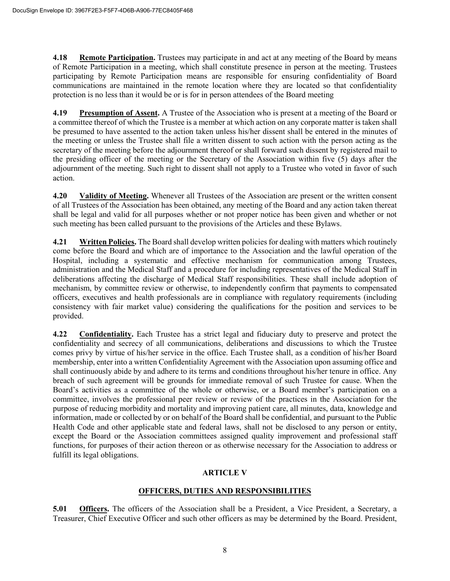**4.18 Remote Participation.** Trustees may participate in and act at any meeting of the Board by means of Remote Participation in a meeting, which shall constitute presence in person at the meeting. Trustees participating by Remote Participation means are responsible for ensuring confidentiality of Board communications are maintained in the remote location where they are located so that confidentiality protection is no less than it would be or is for in person attendees of the Board meeting

**4.19 Presumption of Assent.** A Trustee of the Association who is present at a meeting of the Board or a committee thereof of which the Trustee is a member at which action on any corporate matter is taken shall be presumed to have assented to the action taken unless his/her dissent shall be entered in the minutes of the meeting or unless the Trustee shall file a written dissent to such action with the person acting as the secretary of the meeting before the adjournment thereof or shall forward such dissent by registered mail to the presiding officer of the meeting or the Secretary of the Association within five (5) days after the adjournment of the meeting. Such right to dissent shall not apply to a Trustee who voted in favor of such action.

**4.20 Validity of Meeting.** Whenever all Trustees of the Association are present or the written consent of all Trustees of the Association has been obtained, any meeting of the Board and any action taken thereat shall be legal and valid for all purposes whether or not proper notice has been given and whether or not such meeting has been called pursuant to the provisions of the Articles and these Bylaws.

**4.21 Written Policies.** The Board shall develop written policies for dealing with matters which routinely come before the Board and which are of importance to the Association and the lawful operation of the Hospital, including a systematic and effective mechanism for communication among Trustees, administration and the Medical Staff and a procedure for including representatives of the Medical Staff in deliberations affecting the discharge of Medical Staff responsibilities. These shall include adoption of mechanism, by committee review or otherwise, to independently confirm that payments to compensated officers, executives and health professionals are in compliance with regulatory requirements (including consistency with fair market value) considering the qualifications for the position and services to be provided.

**4.22 Confidentiality.** Each Trustee has a strict legal and fiduciary duty to preserve and protect the confidentiality and secrecy of all communications, deliberations and discussions to which the Trustee comes privy by virtue of his/her service in the office. Each Trustee shall, as a condition of his/her Board membership, enter into a written Confidentiality Agreement with the Association upon assuming office and shall continuously abide by and adhere to its terms and conditions throughout his/her tenure in office. Any breach of such agreement will be grounds for immediate removal of such Trustee for cause. When the Board's activities as a committee of the whole or otherwise, or a Board member's participation on a committee, involves the professional peer review or review of the practices in the Association for the purpose of reducing morbidity and mortality and improving patient care, all minutes, data, knowledge and information, made or collected by or on behalf of the Board shall be confidential, and pursuant to the Public Health Code and other applicable state and federal laws, shall not be disclosed to any person or entity, except the Board or the Association committees assigned quality improvement and professional staff functions, for purposes of their action thereon or as otherwise necessary for the Association to address or fulfill its legal obligations.

#### **ARTICLE V**

# **OFFICERS, DUTIES AND RESPONSIBILITIES**

**5.01 Officers.** The officers of the Association shall be a President, a Vice President, a Secretary, a Treasurer, Chief Executive Officer and such other officers as may be determined by the Board. President,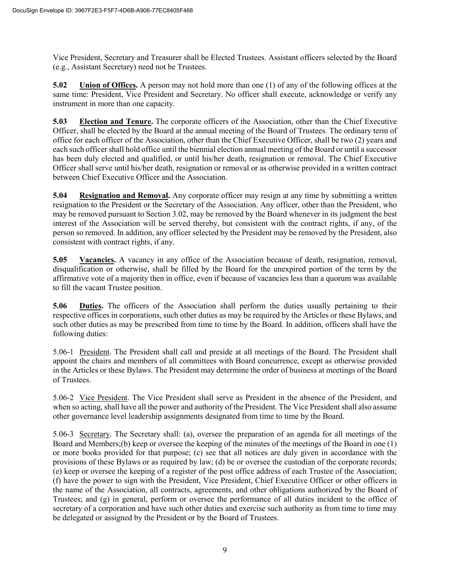Vice President, Secretary and Treasurer shall be Elected Trustees. Assistant officers selected by the Board (e.g., Assistant Secretary) need not be Trustees.

**5.02 Union of Offices.** A person may not hold more than one (1) of any of the following offices at the same time: President, Vice President and Secretary. No officer shall execute, acknowledge or verify any instrument in more than one capacity.

**5.03 Election and Tenure.** The corporate officers of the Association, other than the Chief Executive Officer, shall be elected by the Board at the annual meeting of the Board of Trustees. The ordinary term of office for each officer of the Association, other than the Chief Executive Officer, shall be two (2) years and each such officer shall hold office until the biennial election annual meeting of the Board or until a successor has been duly elected and qualified, or until his/her death, resignation or removal. The Chief Executive Officer shall serve until his/her death, resignation or removal or as otherwise provided in a written contract between Chief Executive Officer and the Association.

**5.04 Resignation and Removal.** Any corporate officer may resign at any time by submitting a written resignation to the President or the Secretary of the Association. Any officer, other than the President, who may be removed pursuant to Section 3.02, may be removed by the Board whenever in its judgment the best interest of the Association will be served thereby, but consistent with the contract rights, if any, of the person so removed. In addition, any officer selected by the President may be removed by the President, also consistent with contract rights, if any.

**5.05 Vacancies.** A vacancy in any office of the Association because of death, resignation, removal, disqualification or otherwise, shall be filled by the Board for the unexpired portion of the term by the affirmative vote of a majority then in office, even if because of vacancies less than a quorum was available to fill the vacant Trustee position.

**5.06 Duties.** The officers of the Association shall perform the duties usually pertaining to their respective offices in corporations, such other duties as may be required by the Articles or these Bylaws, and such other duties as may be prescribed from time to time by the Board. In addition, officers shall have the following duties:

5.06-1 President. The President shall call and preside at all meetings of the Board. The President shall appoint the chairs and members of all committees with Board concurrence, except as otherwise provided in the Articles or these Bylaws. The President may determine the order of business at meetings of the Board of Trustees.

5.06-2 Vice President. The Vice President shall serve as President in the absence of the President, and when so acting, shall have all the power and authority of the President. The Vice President shall also assume other governance level leadership assignments designated from time to time by the Board.

5.06-3 Secretary. The Secretary shall: (a), oversee the preparation of an agenda for all meetings of the Board and Members;(b) keep or oversee the keeping of the minutes of the meetings of the Board in one (1) or more books provided for that purpose; (c) see that all notices are duly given in accordance with the provisions of these Bylaws or as required by law; (d) be or oversee the custodian of the corporate records; (e) keep or oversee the keeping of a register of the post office address of each Trustee of the Association; (f) have the power to sign with the President, Vice President, Chief Executive Officer or other officers in the name of the Association, all contracts, agreements, and other obligations authorized by the Board of Trustees; and (g) in general, perform or oversee the performance of all duties incident to the office of secretary of a corporation and have such other duties and exercise such authority as from time to time may be delegated or assigned by the President or by the Board of Trustees.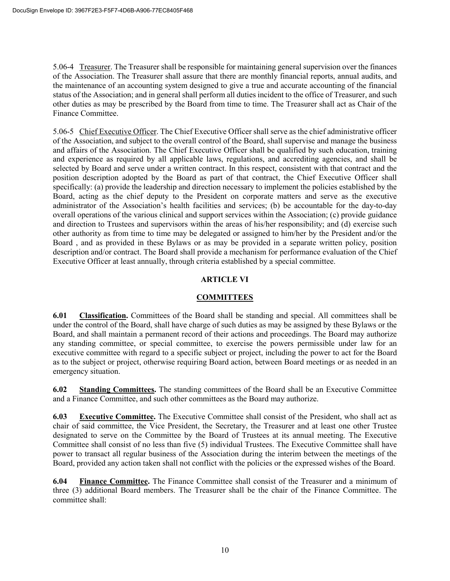5.06-4 Treasurer. The Treasurer shall be responsible for maintaining general supervision over the finances of the Association. The Treasurer shall assure that there are monthly financial reports, annual audits, and the maintenance of an accounting system designed to give a true and accurate accounting of the financial status of the Association; and in general shall perform all duties incident to the office of Treasurer, and such other duties as may be prescribed by the Board from time to time. The Treasurer shall act as Chair of the Finance Committee.

5.06-5 Chief Executive Officer. The Chief Executive Officer shall serve as the chief administrative officer of the Association, and subject to the overall control of the Board, shall supervise and manage the business and affairs of the Association. The Chief Executive Officer shall be qualified by such education, training and experience as required by all applicable laws, regulations, and accrediting agencies, and shall be selected by Board and serve under a written contract. In this respect, consistent with that contract and the position description adopted by the Board as part of that contract, the Chief Executive Officer shall specifically: (a) provide the leadership and direction necessary to implement the policies established by the Board, acting as the chief deputy to the President on corporate matters and serve as the executive administrator of the Association's health facilities and services; (b) be accountable for the day-to-day overall operations of the various clinical and support services within the Association; (c) provide guidance and direction to Trustees and supervisors within the areas of his/her responsibility; and (d) exercise such other authority as from time to time may be delegated or assigned to him/her by the President and/or the Board , and as provided in these Bylaws or as may be provided in a separate written policy, position description and/or contract. The Board shall provide a mechanism for performance evaluation of the Chief Executive Officer at least annually, through criteria established by a special committee.

#### **ARTICLE VI**

#### **COMMITTEES**

**6.01 Classification.** Committees of the Board shall be standing and special. All committees shall be under the control of the Board, shall have charge of such duties as may be assigned by these Bylaws or the Board, and shall maintain a permanent record of their actions and proceedings. The Board may authorize any standing committee, or special committee, to exercise the powers permissible under law for an executive committee with regard to a specific subject or project, including the power to act for the Board as to the subject or project, otherwise requiring Board action, between Board meetings or as needed in an emergency situation.

**6.02 Standing Committees.** The standing committees of the Board shall be an Executive Committee and a Finance Committee, and such other committees as the Board may authorize.

**6.03 Executive Committee.** The Executive Committee shall consist of the President, who shall act as chair of said committee, the Vice President, the Secretary, the Treasurer and at least one other Trustee designated to serve on the Committee by the Board of Trustees at its annual meeting. The Executive Committee shall consist of no less than five (5) individual Trustees. The Executive Committee shall have power to transact all regular business of the Association during the interim between the meetings of the Board, provided any action taken shall not conflict with the policies or the expressed wishes of the Board.

**6.04 Finance Committee.** The Finance Committee shall consist of the Treasurer and a minimum of three (3) additional Board members. The Treasurer shall be the chair of the Finance Committee. The committee shall: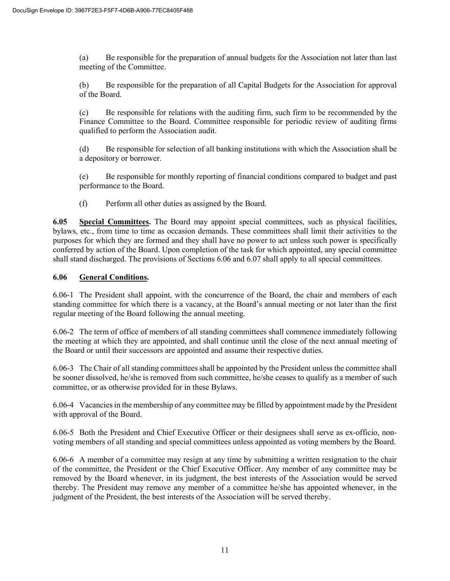(a) Be responsible for the preparation of annual budgets for the Association not later than last meeting of the Committee.

(b) Be responsible for the preparation of all Capital Budgets for the Association for approval of the Board.

(c) Be responsible for relations with the auditing firm, such firm to be recommended by the Finance Committee to the Board. Committee responsible for periodic review of auditing firms qualified to perform the Association audit.

(d) Be responsible for selection of all banking institutions with which the Association shall be a depository or borrower.

(e) Be responsible for monthly reporting of financial conditions compared to budget and past performance to the Board.

(f) Perform all other duties as assigned by the Board.

**6.05 Special Committees.** The Board may appoint special committees, such as physical facilities, bylaws, etc., from time to time as occasion demands. These committees shall limit their activities to the purposes for which they are formed and they shall have no power to act unless such power is specifically conferred by action of the Board. Upon completion of the task for which appointed, any special committee shall stand discharged. The provisions of Sections 6.06 and 6.07 shall apply to all special committees.

# **6.06 General Conditions.**

6.06-1 The President shall appoint, with the concurrence of the Board, the chair and members of each standing committee for which there is a vacancy, at the Board's annual meeting or not later than the first regular meeting of the Board following the annual meeting.

6.06-2 The term of office of members of all standing committees shall commence immediately following the meeting at which they are appointed, and shall continue until the close of the next annual meeting of the Board or until their successors are appointed and assume their respective duties.

6.06-3 The Chair of all standing committees shall be appointed by the President unless the committee shall be sooner dissolved, he/she is removed from such committee, he/she ceases to qualify as a member of such committee, or as otherwise provided for in these Bylaws.

6.06-4 Vacancies in the membership of any committee may be filled by appointment made by the President with approval of the Board.

6.06-5 Both the President and Chief Executive Officer or their designees shall serve as ex-officio, nonvoting members of all standing and special committees unless appointed as voting members by the Board.

6.06-6 A member of a committee may resign at any time by submitting a written resignation to the chair of the committee, the President or the Chief Executive Officer. Any member of any committee may be removed by the Board whenever, in its judgment, the best interests of the Association would be served thereby. The President may remove any member of a committee he/she has appointed whenever, in the judgment of the President, the best interests of the Association will be served thereby.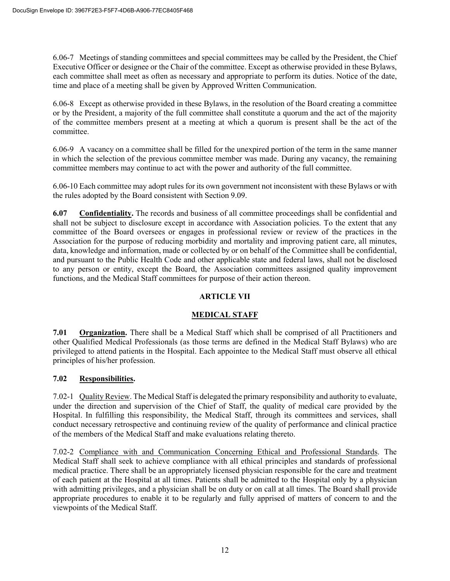6.06-7 Meetings of standing committees and special committees may be called by the President, the Chief Executive Officer or designee or the Chair of the committee. Except as otherwise provided in these Bylaws, each committee shall meet as often as necessary and appropriate to perform its duties. Notice of the date, time and place of a meeting shall be given by Approved Written Communication.

6.06-8 Except as otherwise provided in these Bylaws, in the resolution of the Board creating a committee or by the President, a majority of the full committee shall constitute a quorum and the act of the majority of the committee members present at a meeting at which a quorum is present shall be the act of the committee.

6.06-9 A vacancy on a committee shall be filled for the unexpired portion of the term in the same manner in which the selection of the previous committee member was made. During any vacancy, the remaining committee members may continue to act with the power and authority of the full committee.

6.06-10 Each committee may adopt rules for its own government not inconsistent with these Bylaws or with the rules adopted by the Board consistent with Section 9.09.

**6.07 Confidentiality.** The records and business of all committee proceedings shall be confidential and shall not be subject to disclosure except in accordance with Association policies. To the extent that any committee of the Board oversees or engages in professional review or review of the practices in the Association for the purpose of reducing morbidity and mortality and improving patient care, all minutes, data, knowledge and information, made or collected by or on behalf of the Committee shall be confidential, and pursuant to the Public Health Code and other applicable state and federal laws, shall not be disclosed to any person or entity, except the Board, the Association committees assigned quality improvement functions, and the Medical Staff committees for purpose of their action thereon.

# **ARTICLE VII**

#### **MEDICAL STAFF**

**7.01 Organization.** There shall be a Medical Staff which shall be comprised of all Practitioners and other Qualified Medical Professionals (as those terms are defined in the Medical Staff Bylaws) who are privileged to attend patients in the Hospital. Each appointee to the Medical Staff must observe all ethical principles of his/her profession.

#### **7.02 Responsibilities.**

7.02-1 Quality Review. The Medical Staff is delegated the primary responsibility and authority to evaluate, under the direction and supervision of the Chief of Staff, the quality of medical care provided by the Hospital. In fulfilling this responsibility, the Medical Staff, through its committees and services, shall conduct necessary retrospective and continuing review of the quality of performance and clinical practice of the members of the Medical Staff and make evaluations relating thereto.

7.02-2 Compliance with and Communication Concerning Ethical and Professional Standards. The Medical Staff shall seek to achieve compliance with all ethical principles and standards of professional medical practice. There shall be an appropriately licensed physician responsible for the care and treatment of each patient at the Hospital at all times. Patients shall be admitted to the Hospital only by a physician with admitting privileges, and a physician shall be on duty or on call at all times. The Board shall provide appropriate procedures to enable it to be regularly and fully apprised of matters of concern to and the viewpoints of the Medical Staff.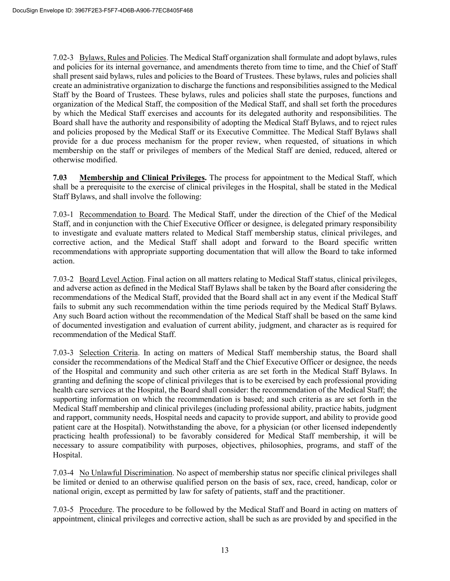7.02-3 Bylaws, Rules and Policies. The Medical Staff organization shall formulate and adopt bylaws, rules and policies for its internal governance, and amendments thereto from time to time, and the Chief of Staff shall present said bylaws, rules and policies to the Board of Trustees. These bylaws, rules and policies shall create an administrative organization to discharge the functions and responsibilities assigned to the Medical Staff by the Board of Trustees. These bylaws, rules and policies shall state the purposes, functions and organization of the Medical Staff, the composition of the Medical Staff, and shall set forth the procedures by which the Medical Staff exercises and accounts for its delegated authority and responsibilities. The Board shall have the authority and responsibility of adopting the Medical Staff Bylaws, and to reject rules and policies proposed by the Medical Staff or its Executive Committee. The Medical Staff Bylaws shall provide for a due process mechanism for the proper review, when requested, of situations in which membership on the staff or privileges of members of the Medical Staff are denied, reduced, altered or otherwise modified.

**7.03 Membership and Clinical Privileges.** The process for appointment to the Medical Staff, which shall be a prerequisite to the exercise of clinical privileges in the Hospital, shall be stated in the Medical Staff Bylaws, and shall involve the following:

7.03-1 Recommendation to Board. The Medical Staff, under the direction of the Chief of the Medical Staff, and in conjunction with the Chief Executive Officer or designee, is delegated primary responsibility to investigate and evaluate matters related to Medical Staff membership status, clinical privileges, and corrective action, and the Medical Staff shall adopt and forward to the Board specific written recommendations with appropriate supporting documentation that will allow the Board to take informed action.

7.03-2 Board Level Action. Final action on all matters relating to Medical Staff status, clinical privileges, and adverse action as defined in the Medical Staff Bylaws shall be taken by the Board after considering the recommendations of the Medical Staff, provided that the Board shall act in any event if the Medical Staff fails to submit any such recommendation within the time periods required by the Medical Staff Bylaws. Any such Board action without the recommendation of the Medical Staff shall be based on the same kind of documented investigation and evaluation of current ability, judgment, and character as is required for recommendation of the Medical Staff.

7.03-3 Selection Criteria. In acting on matters of Medical Staff membership status, the Board shall consider the recommendations of the Medical Staff and the Chief Executive Officer or designee, the needs of the Hospital and community and such other criteria as are set forth in the Medical Staff Bylaws. In granting and defining the scope of clinical privileges that is to be exercised by each professional providing health care services at the Hospital, the Board shall consider: the recommendation of the Medical Staff; the supporting information on which the recommendation is based; and such criteria as are set forth in the Medical Staff membership and clinical privileges (including professional ability, practice habits, judgment and rapport, community needs, Hospital needs and capacity to provide support, and ability to provide good patient care at the Hospital). Notwithstanding the above, for a physician (or other licensed independently practicing health professional) to be favorably considered for Medical Staff membership, it will be necessary to assure compatibility with purposes, objectives, philosophies, programs, and staff of the Hospital.

7.03-4 No Unlawful Discrimination. No aspect of membership status nor specific clinical privileges shall be limited or denied to an otherwise qualified person on the basis of sex, race, creed, handicap, color or national origin, except as permitted by law for safety of patients, staff and the practitioner.

7.03-5 Procedure. The procedure to be followed by the Medical Staff and Board in acting on matters of appointment, clinical privileges and corrective action, shall be such as are provided by and specified in the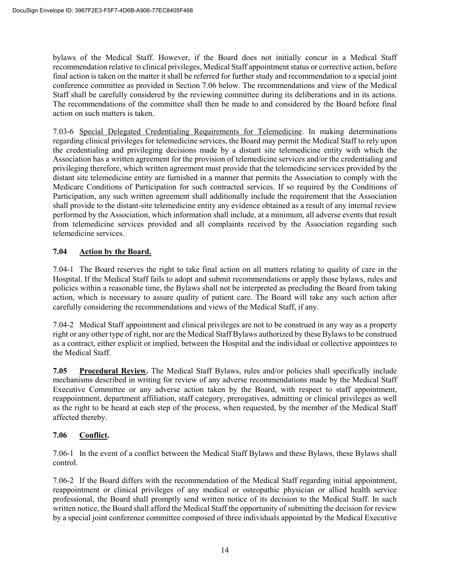bylaws of the Medical Staff. However, if the Board does not initially concur in a Medical Staff recommendation relative to clinical privileges, Medical Staff appointment status or corrective action, before final action is taken on the matter it shall be referred for further study and recommendation to a special joint conference committee as provided in Section 7.06 below. The recommendations and view of the Medical Staff shall be carefully considered by the reviewing committee during its deliberations and in its actions. The recommendations of the committee shall then be made to and considered by the Board before final action on such matters is taken.

7.03-6 Special Delegated Credentialing Requirements for Telemedicine. In making determinations regarding clinical privileges for telemedicine services, the Board may permit the Medical Staff to rely upon the credentialing and privileging decisions made by a distant site telemedicine entity with which the Association has a written agreement for the provision of telemedicine services and/or the credentialing and privileging therefore, which written agreement must provide that the telemedicine services provided by the distant site telemedicine entity are furnished in a manner that permits the Association to comply with the Medicare Conditions of Participation for such contracted services. If so required by the Conditions of Participation, any such written agreement shall additionally include the requirement that the Association shall provide to the distant-site telemedicine entity any evidence obtained as a result of any internal review performed by the Association, which information shall include, at a minimum, all adverse events that result from telemedicine services provided and all complaints received by the Association regarding such telemedicine services.

# **7.04 Action by the Board.**

7.04-1 The Board reserves the right to take final action on all matters relating to quality of care in the Hospital. If the Medical Staff fails to adopt and submit recommendations or apply those bylaws, rules and policies within a reasonable time, the Bylaws shall not be interpreted as precluding the Board from taking action, which is necessary to assure quality of patient care. The Board will take any such action after carefully considering the recommendations and views of the Medical Staff, if any.

7.04-2 Medical Staff appointment and clinical privileges are not to be construed in any way as a property right or any other type of right, nor are the Medical Staff Bylaws authorized by these Bylaws to be construed as a contract, either explicit or implied, between the Hospital and the individual or collective appointees to the Medical Staff.

**7.05 Procedural Review.** The Medical Staff Bylaws, rules and/or policies shall specifically include mechanisms described in writing for review of any adverse recommendations made by the Medical Staff Executive Committee or any adverse action taken by the Board, with respect to staff appointment, reappointment, department affiliation, staff category, prerogatives, admitting or clinical privileges as well as the right to be heard at each step of the process, when requested, by the member of the Medical Staff affected thereby.

#### **7.06 Conflict.**

7.06-1 In the event of a conflict between the Medical Staff Bylaws and these Bylaws, these Bylaws shall control.

7.06-2 If the Board differs with the recommendation of the Medical Staff regarding initial appointment, reappointment or clinical privileges of any medical or osteopathic physician or allied health service professional, the Board shall promptly send written notice of its decision to the Medical Staff. In such written notice, the Board shall afford the Medical Staff the opportunity of submitting the decision for review by a special joint conference committee composed of three individuals appointed by the Medical Executive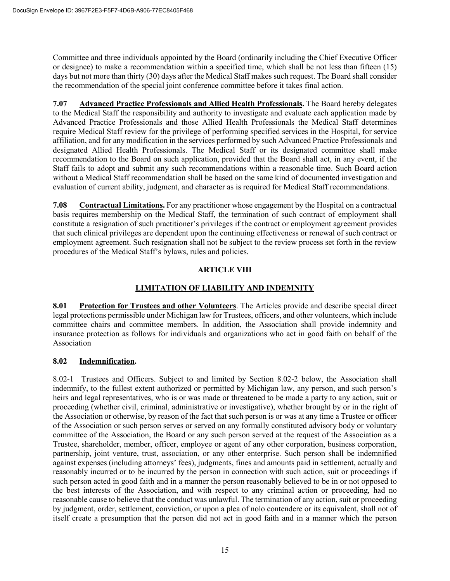Committee and three individuals appointed by the Board (ordinarily including the Chief Executive Officer or designee) to make a recommendation within a specified time, which shall be not less than fifteen (15) days but not more than thirty (30) days after the Medical Staff makes such request. The Board shall consider the recommendation of the special joint conference committee before it takes final action.

**7.07 Advanced Practice Professionals and Allied Health Professionals.** The Board hereby delegates to the Medical Staff the responsibility and authority to investigate and evaluate each application made by Advanced Practice Professionals and those Allied Health Professionals the Medical Staff determines require Medical Staff review for the privilege of performing specified services in the Hospital, for service affiliation, and for any modification in the services performed by such Advanced Practice Professionals and designated Allied Health Professionals. The Medical Staff or its designated committee shall make recommendation to the Board on such application, provided that the Board shall act, in any event, if the Staff fails to adopt and submit any such recommendations within a reasonable time. Such Board action without a Medical Staff recommendation shall be based on the same kind of documented investigation and evaluation of current ability, judgment, and character as is required for Medical Staff recommendations.

**7.08 Contractual Limitations.** For any practitioner whose engagement by the Hospital on a contractual basis requires membership on the Medical Staff, the termination of such contract of employment shall constitute a resignation of such practitioner's privileges if the contract or employment agreement provides that such clinical privileges are dependent upon the continuing effectiveness or renewal of such contract or employment agreement. Such resignation shall not be subject to the review process set forth in the review procedures of the Medical Staff's bylaws, rules and policies.

# **ARTICLE VIII**

# **LIMITATION OF LIABILITY AND INDEMNITY**

**8.01 Protection for Trustees and other Volunteers**. The Articles provide and describe special direct legal protections permissible under Michigan law for Trustees, officers, and other volunteers, which include committee chairs and committee members. In addition, the Association shall provide indemnity and insurance protection as follows for individuals and organizations who act in good faith on behalf of the Association

#### **8.02 Indemnification.**

8.02-1 Trustees and Officers. Subject to and limited by Section 8.02-2 below, the Association shall indemnify, to the fullest extent authorized or permitted by Michigan law, any person, and such person's heirs and legal representatives, who is or was made or threatened to be made a party to any action, suit or proceeding (whether civil, criminal, administrative or investigative), whether brought by or in the right of the Association or otherwise, by reason of the fact that such person is or was at any time a Trustee or officer of the Association or such person serves or served on any formally constituted advisory body or voluntary committee of the Association, the Board or any such person served at the request of the Association as a Trustee, shareholder, member, officer, employee or agent of any other corporation, business corporation, partnership, joint venture, trust, association, or any other enterprise. Such person shall be indemnified against expenses (including attorneys' fees), judgments, fines and amounts paid in settlement, actually and reasonably incurred or to be incurred by the person in connection with such action, suit or proceedings if such person acted in good faith and in a manner the person reasonably believed to be in or not opposed to the best interests of the Association, and with respect to any criminal action or proceeding, had no reasonable cause to believe that the conduct was unlawful. The termination of any action, suit or proceeding by judgment, order, settlement, conviction, or upon a plea of nolo contendere or its equivalent, shall not of itself create a presumption that the person did not act in good faith and in a manner which the person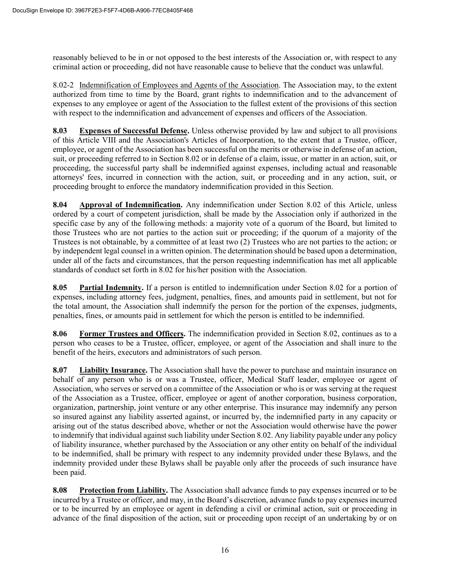reasonably believed to be in or not opposed to the best interests of the Association or, with respect to any criminal action or proceeding, did not have reasonable cause to believe that the conduct was unlawful.

8.02-2 Indemnification of Employees and Agents of the Association. The Association may, to the extent authorized from time to time by the Board, grant rights to indemnification and to the advancement of expenses to any employee or agent of the Association to the fullest extent of the provisions of this section with respect to the indemnification and advancement of expenses and officers of the Association.

**8.03 Expenses of Successful Defense.** Unless otherwise provided by law and subject to all provisions of this Article VIII and the Association's Articles of Incorporation, to the extent that a Trustee, officer, employee, or agent of the Association has been successful on the merits or otherwise in defense of an action, suit, or proceeding referred to in Section 8.02 or in defense of a claim, issue, or matter in an action, suit, or proceeding, the successful party shall be indemnified against expenses, including actual and reasonable attorneys' fees, incurred in connection with the action, suit, or proceeding and in any action, suit, or proceeding brought to enforce the mandatory indemnification provided in this Section.

**8.04 Approval of Indemnification.** Any indemnification under Section 8.02 of this Article, unless ordered by a court of competent jurisdiction, shall be made by the Association only if authorized in the specific case by any of the following methods: a majority vote of a quorum of the Board, but limited to those Trustees who are not parties to the action suit or proceeding; if the quorum of a majority of the Trustees is not obtainable, by a committee of at least two (2) Trustees who are not parties to the action; or by independent legal counsel in a written opinion. The determination should be based upon a determination, under all of the facts and circumstances, that the person requesting indemnification has met all applicable standards of conduct set forth in 8.02 for his/her position with the Association.

**8.05 Partial Indemnity.** If a person is entitled to indemnification under Section 8.02 for a portion of expenses, including attorney fees, judgment, penalties, fines, and amounts paid in settlement, but not for the total amount, the Association shall indemnify the person for the portion of the expenses, judgments, penalties, fines, or amounts paid in settlement for which the person is entitled to be indemnified.

**8.06 Former Trustees and Officers.** The indemnification provided in Section 8.02, continues as to a person who ceases to be a Trustee, officer, employee, or agent of the Association and shall inure to the benefit of the heirs, executors and administrators of such person.

**8.07 Liability Insurance.** The Association shall have the power to purchase and maintain insurance on behalf of any person who is or was a Trustee, officer, Medical Staff leader, employee or agent of Association, who serves or served on a committee of the Association or who is or was serving at the request of the Association as a Trustee, officer, employee or agent of another corporation, business corporation, organization, partnership, joint venture or any other enterprise. This insurance may indemnify any person so insured against any liability asserted against, or incurred by, the indemnified party in any capacity or arising out of the status described above, whether or not the Association would otherwise have the power to indemnify that individual against such liability under Section 8.02. Any liability payable under any policy of liability insurance, whether purchased by the Association or any other entity on behalf of the individual to be indemnified, shall be primary with respect to any indemnity provided under these Bylaws, and the indemnity provided under these Bylaws shall be payable only after the proceeds of such insurance have been paid.

**8.08 Protection from Liability.** The Association shall advance funds to pay expenses incurred or to be incurred by a Trustee or officer, and may, in the Board's discretion, advance funds to pay expenses incurred or to be incurred by an employee or agent in defending a civil or criminal action, suit or proceeding in advance of the final disposition of the action, suit or proceeding upon receipt of an undertaking by or on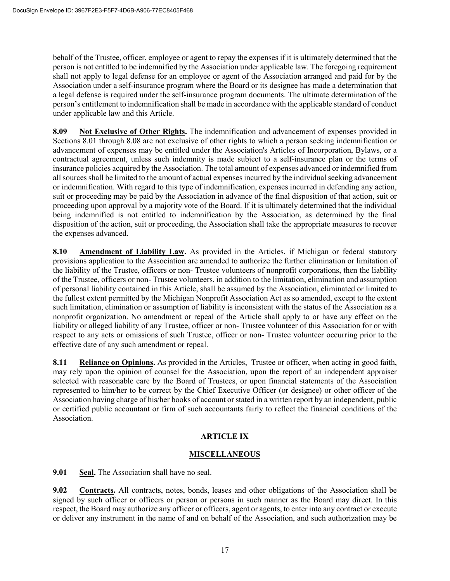behalf of the Trustee, officer, employee or agent to repay the expenses if it is ultimately determined that the person is not entitled to be indemnified by the Association under applicable law. The foregoing requirement shall not apply to legal defense for an employee or agent of the Association arranged and paid for by the Association under a self-insurance program where the Board or its designee has made a determination that a legal defense is required under the self-insurance program documents. The ultimate determination of the person's entitlement to indemnification shall be made in accordance with the applicable standard of conduct under applicable law and this Article.

**8.09 Not Exclusive of Other Rights.** The indemnification and advancement of expenses provided in Sections 8.01 through 8.08 are not exclusive of other rights to which a person seeking indemnification or advancement of expenses may be entitled under the Association's Articles of Incorporation, Bylaws, or a contractual agreement, unless such indemnity is made subject to a self-insurance plan or the terms of insurance policies acquired by the Association. The total amount of expenses advanced or indemnified from all sources shall be limited to the amount of actual expenses incurred by the individual seeking advancement or indemnification. With regard to this type of indemnification, expenses incurred in defending any action, suit or proceeding may be paid by the Association in advance of the final disposition of that action, suit or proceeding upon approval by a majority vote of the Board. If it is ultimately determined that the individual being indemnified is not entitled to indemnification by the Association, as determined by the final disposition of the action, suit or proceeding, the Association shall take the appropriate measures to recover the expenses advanced.

**8.10 Amendment of Liability Law.** As provided in the Articles, if Michigan or federal statutory provisions application to the Association are amended to authorize the further elimination or limitation of the liability of the Trustee, officers or non- Trustee volunteers of nonprofit corporations, then the liability of the Trustee, officers or non- Trustee volunteers, in addition to the limitation, elimination and assumption of personal liability contained in this Article, shall be assumed by the Association, eliminated or limited to the fullest extent permitted by the Michigan Nonprofit Association Act as so amended, except to the extent such limitation, elimination or assumption of liability is inconsistent with the status of the Association as a nonprofit organization. No amendment or repeal of the Article shall apply to or have any effect on the liability or alleged liability of any Trustee, officer or non- Trustee volunteer of this Association for or with respect to any acts or omissions of such Trustee, officer or non- Trustee volunteer occurring prior to the effective date of any such amendment or repeal.

**8.11** Reliance on Opinions. As provided in the Articles, Trustee or officer, when acting in good faith, may rely upon the opinion of counsel for the Association, upon the report of an independent appraiser selected with reasonable care by the Board of Trustees, or upon financial statements of the Association represented to him/her to be correct by the Chief Executive Officer (or designee) or other officer of the Association having charge of his/her books of account or stated in a written report by an independent, public or certified public accountant or firm of such accountants fairly to reflect the financial conditions of the Association.

# **ARTICLE IX**

#### **MISCELLANEOUS**

**9.01 Seal.** The Association shall have no seal.

**9.02 Contracts.** All contracts, notes, bonds, leases and other obligations of the Association shall be signed by such officer or officers or person or persons in such manner as the Board may direct. In this respect, the Board may authorize any officer or officers, agent or agents, to enter into any contract or execute or deliver any instrument in the name of and on behalf of the Association, and such authorization may be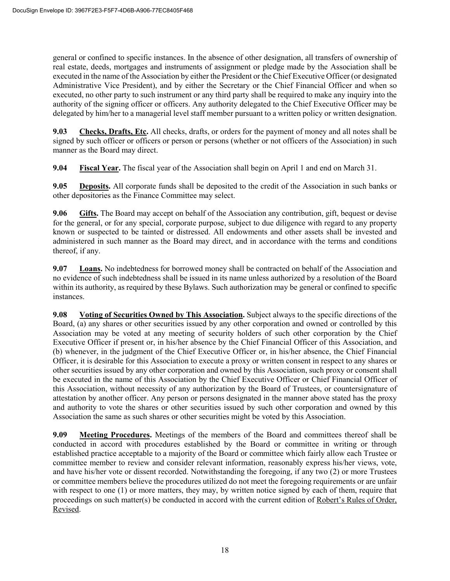general or confined to specific instances. In the absence of other designation, all transfers of ownership of real estate, deeds, mortgages and instruments of assignment or pledge made by the Association shall be executed in the name of the Association by either the President or the Chief Executive Officer (or designated Administrative Vice President), and by either the Secretary or the Chief Financial Officer and when so executed, no other party to such instrument or any third party shall be required to make any inquiry into the authority of the signing officer or officers. Any authority delegated to the Chief Executive Officer may be delegated by him/her to a managerial level staff member pursuant to a written policy or written designation.

**9.03 Checks, Drafts, Etc.** All checks, drafts, or orders for the payment of money and all notes shall be signed by such officer or officers or person or persons (whether or not officers of the Association) in such manner as the Board may direct.

**9.04 Fiscal Year.** The fiscal year of the Association shall begin on April 1 and end on March 31.

**9.05 Deposits.** All corporate funds shall be deposited to the credit of the Association in such banks or other depositories as the Finance Committee may select.

**9.06 Gifts.** The Board may accept on behalf of the Association any contribution, gift, bequest or devise for the general, or for any special, corporate purpose, subject to due diligence with regard to any property known or suspected to be tainted or distressed. All endowments and other assets shall be invested and administered in such manner as the Board may direct, and in accordance with the terms and conditions thereof, if any.

**9.07 Loans.** No indebtedness for borrowed money shall be contracted on behalf of the Association and no evidence of such indebtedness shall be issued in its name unless authorized by a resolution of the Board within its authority, as required by these Bylaws. Such authorization may be general or confined to specific instances.

**9.08** Voting of Securities Owned by This Association. Subject always to the specific directions of the Board, (a) any shares or other securities issued by any other corporation and owned or controlled by this Association may be voted at any meeting of security holders of such other corporation by the Chief Executive Officer if present or, in his/her absence by the Chief Financial Officer of this Association, and (b) whenever, in the judgment of the Chief Executive Officer or, in his/her absence, the Chief Financial Officer, it is desirable for this Association to execute a proxy or written consent in respect to any shares or other securities issued by any other corporation and owned by this Association, such proxy or consent shall be executed in the name of this Association by the Chief Executive Officer or Chief Financial Officer of this Association, without necessity of any authorization by the Board of Trustees, or countersignature of attestation by another officer. Any person or persons designated in the manner above stated has the proxy and authority to vote the shares or other securities issued by such other corporation and owned by this Association the same as such shares or other securities might be voted by this Association.

**9.09** Meeting Procedures. Meetings of the members of the Board and committees thereof shall be conducted in accord with procedures established by the Board or committee in writing or through established practice acceptable to a majority of the Board or committee which fairly allow each Trustee or committee member to review and consider relevant information, reasonably express his/her views, vote, and have his/her vote or dissent recorded. Notwithstanding the foregoing, if any two (2) or more Trustees or committee members believe the procedures utilized do not meet the foregoing requirements or are unfair with respect to one (1) or more matters, they may, by written notice signed by each of them, require that proceedings on such matter(s) be conducted in accord with the current edition of Robert's Rules of Order, Revised.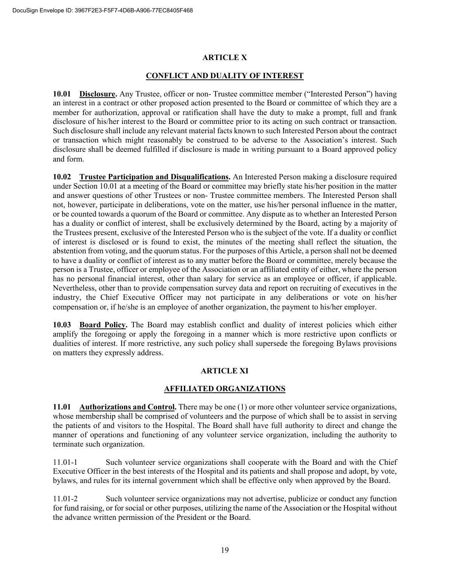#### **ARTICLE X**

#### **CONFLICT AND DUALITY OF INTEREST**

**10.01 Disclosure.** Any Trustee, officer or non- Trustee committee member ("Interested Person") having an interest in a contract or other proposed action presented to the Board or committee of which they are a member for authorization, approval or ratification shall have the duty to make a prompt, full and frank disclosure of his/her interest to the Board or committee prior to its acting on such contract or transaction. Such disclosure shall include any relevant material facts known to such Interested Person about the contract or transaction which might reasonably be construed to be adverse to the Association's interest. Such disclosure shall be deemed fulfilled if disclosure is made in writing pursuant to a Board approved policy and form.

**10.02 Trustee Participation and Disqualifications.** An Interested Person making a disclosure required under Section 10.01 at a meeting of the Board or committee may briefly state his/her position in the matter and answer questions of other Trustees or non- Trustee committee members. The Interested Person shall not, however, participate in deliberations, vote on the matter, use his/her personal influence in the matter, or be counted towards a quorum of the Board or committee. Any dispute as to whether an Interested Person has a duality or conflict of interest, shall be exclusively determined by the Board, acting by a majority of the Trustees present, exclusive of the Interested Person who is the subject of the vote. If a duality or conflict of interest is disclosed or is found to exist, the minutes of the meeting shall reflect the situation, the abstention from voting, and the quorum status. For the purposes of this Article, a person shall not be deemed to have a duality or conflict of interest as to any matter before the Board or committee, merely because the person is a Trustee, officer or employee of the Association or an affiliated entity of either, where the person has no personal financial interest, other than salary for service as an employee or officer, if applicable. Nevertheless, other than to provide compensation survey data and report on recruiting of executives in the industry, the Chief Executive Officer may not participate in any deliberations or vote on his/her compensation or, if he/she is an employee of another organization, the payment to his/her employer.

**10.03 Board Policy.** The Board may establish conflict and duality of interest policies which either amplify the foregoing or apply the foregoing in a manner which is more restrictive upon conflicts or dualities of interest. If more restrictive, any such policy shall supersede the foregoing Bylaws provisions on matters they expressly address.

#### **ARTICLE XI**

#### **AFFILIATED ORGANIZATIONS**

**11.01 Authorizations and Control.** There may be one (1) or more other volunteer service organizations, whose membership shall be comprised of volunteers and the purpose of which shall be to assist in serving the patients of and visitors to the Hospital. The Board shall have full authority to direct and change the manner of operations and functioning of any volunteer service organization, including the authority to terminate such organization.

11.01-1 Such volunteer service organizations shall cooperate with the Board and with the Chief Executive Officer in the best interests of the Hospital and its patients and shall propose and adopt, by vote, bylaws, and rules for its internal government which shall be effective only when approved by the Board.

11.01-2 Such volunteer service organizations may not advertise, publicize or conduct any function for fund raising, or for social or other purposes, utilizing the name of the Association or the Hospital without the advance written permission of the President or the Board.